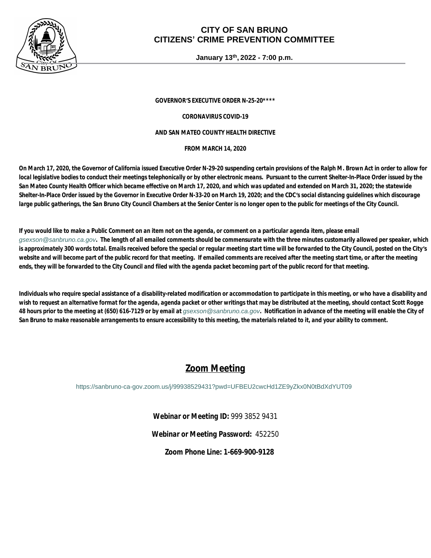

### **CITY OF SAN BRUNO CITIZENS' CRIME PREVENTION COMMITTEE**

**January 13th, 2022 - 7:00 p.m.**

*GOVERNOR'S EXECUTIVE ORDER N-25-20\*\*\*\**

*CORONAVIRUS COVID-19*

#### *AND SAN MATEO COUNTY HEALTH DIRECTIVE*

*FROM MARCH 14, 2020*

*On March 17, 2020, the Governor of California issued Executive Order N-29-20 suspending certain provisions of the Ralph M. Brown Act in order to allow for local legislative bodies to conduct their meetings telephonically or by other electronic means. Pursuant to the current Shelter-In-Place Order issued by the San Mateo County Health Officer which became effective on March 17, 2020, and which was updated and extended on March 31, 2020; the statewide Shelter-In-Place Order issued by the Governor in Executive Order N-33-20 on March 19, 2020; and the CDC's social distancing guidelines which discourage*  large public gatherings, the San Bruno City Council Chambers at the Senior Center is no longer open to the public for meetings of the City Council.

*If you would like to make a Public Comment on an item not on the agenda, or comment on a particular agenda item, please email [gsexson@sanbruno.ca.gov](mailto:gsexson@sanbruno.ca.gov). The length of all emailed comments should be commensurate with the three minutes customarily allowed per speaker, which is approximately 300 words total. Emails received before the special or regular meeting start time will be forwarded to the City Council, posted on the City's website and will become part of the public record for that meeting. If emailed comments are received after the meeting start time, or after the meeting ends, they will be forwarded to the City Council and filed with the agenda packet becoming part of the public record for that meeting.* 

*Individuals who require special assistance of a disability-related modification or accommodation to participate in this meeting, or who have a disability and wish to request an alternative format for the agenda, agenda packet or other writings that may be distributed at the meeting, should contact Scott Rogge*  48 hours prior to the meeting at (650) 616-7129 or by email at *qsexson@sanbruno.ca.gov*. Notification in advance of the meeting will enable the City of *San Bruno to make reasonable arrangements to ensure accessibility to this meeting, the materials related to it, and your ability to comment.*

## *Zoom Meeting*

<https://sanbruno-ca-gov.zoom.us/j/99938529431?pwd=UFBEU2cwcHd1ZE9yZkx0N0tBdXdYUT09>

*Webinar or Meeting ID:* 999 3852 9431

*Webinar or Meeting Password:* 452250

*Zoom Phone Line:* **1-669-900-9128**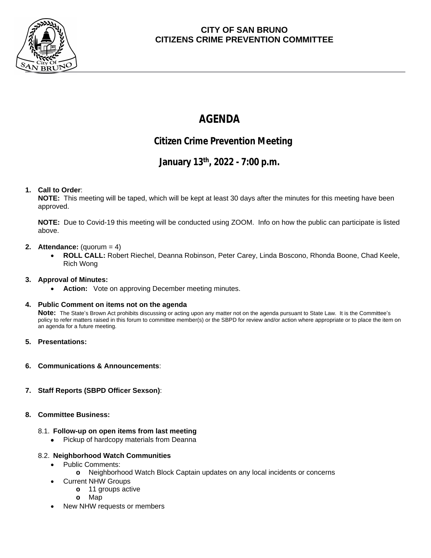

### **CITY OF SAN BRUNO CITIZENS CRIME PREVENTION COMMITTEE**

# **AGENDA**

## **Citizen Crime Prevention Meeting**

## **January 13th , 2022 - 7:00 p.m.**

#### **1. Call to Order**:

**NOTE:** This meeting will be taped, which will be kept at least 30 days after the minutes for this meeting have been approved.

**NOTE:** Due to Covid-19 this meeting will be conducted using ZOOM. Info on how the public can participate is listed above.

#### **2. Attendance:** (quorum = 4)

 **ROLL CALL:** Robert Riechel, Deanna Robinson, Peter Carey, Linda Boscono, Rhonda Boone, Chad Keele, Rich Wong

#### **3. Approval of Minutes:**

**Action:** Vote on approving December meeting minutes.

#### **4. Public Comment on items not on the agenda**

**Note:** The State's Brown Act prohibits discussing or acting upon any matter not on the agenda pursuant to State Law. It is the Committee's policy to refer matters raised in this forum to committee member(s) or the SBPD for review and/or action where appropriate or to place the item on an agenda for a future meeting.

- **5. Presentations:**
- **6. Communications & Announcements**:
- **7. Staff Reports (SBPD Officer Sexson)**:

#### **8. Committee Business:**

#### 8.1. **Follow-up on open items from last meeting**

• Pickup of hardcopy materials from Deanna

#### 8.2. **Neighborhood Watch Communities**

- Public Comments:
	- **o** Neighborhood Watch Block Captain updates on any local incidents or concerns
	- Current NHW Groups
		- **o** 11 groups active
		- **o** Map
- New NHW requests or members